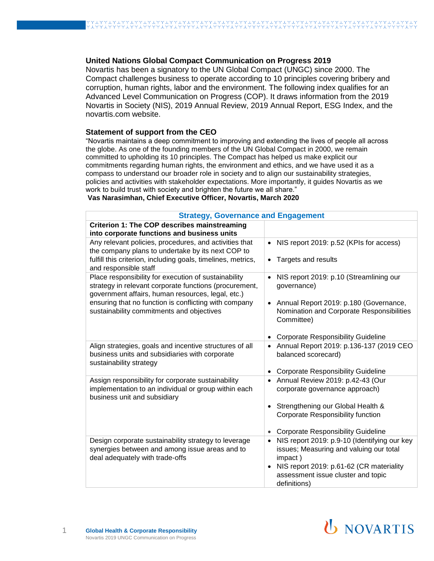## **United Nations Global Compact Communication on Progress 2019**

Novartis has been a signatory to the UN Global Compact (UNGC) since 2000. The Compact challenges business to operate according to 10 principles covering bribery and corruption, human rights, labor and the environment. The following index qualifies for an Advanced Level Communication on Progress (COP). It draws information from the 2019 [Novartis in Society](https://www.novartis.com/sites/www.novartis.com/files/novartis-in-society-report-2019.pdf) (NIS), 2019 [Annual Review,](https://www.novartis.com/sites/www.novartis.com/files/novartis-annual-review-2019-en.pdf) 2019 [Annual Report,](https://www.novartis.com/sites/www.novartis.com/files/novartis-annual-report-2019.pdf) [ESG Index,](https://www.novartis.com/sites/www.novartis.com/files/novartis-environmental-social-and-governance-esg-index.pdf) and the novartis.com website.

## **Statement of support from the CEO**

"Novartis maintains a deep commitment to improving and extending the lives of people all across the globe. As one of the founding members of the UN Global Compact in 2000, we remain committed to upholding its 10 principles. The Compact has helped us make explicit our commitments regarding human rights, the environment and ethics, and we have used it as a compass to understand our broader role in society and to align our sustainability strategies, policies and activities with stakeholder expectations. More importantly, it guides Novartis as we work to build trust with society and brighten the future we all share."

## **Vas Narasimhan, Chief Executive Officer, Novartis, March 2020**

| <b>Strategy, Governance and Engagement</b>                                                                                                                          |                                                                                                    |
|---------------------------------------------------------------------------------------------------------------------------------------------------------------------|----------------------------------------------------------------------------------------------------|
| Criterion 1: The COP describes mainstreaming<br>into corporate functions and business units                                                                         |                                                                                                    |
| Any relevant policies, procedures, and activities that<br>the company plans to undertake by its next COP to                                                         | NIS report 2019: p.52 (KPIs for access)<br>$\bullet$                                               |
| fulfill this criterion, including goals, timelines, metrics,<br>and responsible staff                                                                               | Targets and results<br>$\bullet$                                                                   |
| Place responsibility for execution of sustainability<br>strategy in relevant corporate functions (procurement,<br>government affairs, human resources, legal, etc.) | NIS report 2019: p.10 (Streamlining our<br>$\bullet$<br>governance)                                |
| ensuring that no function is conflicting with company<br>sustainability commitments and objectives                                                                  | Annual Report 2019: p.180 (Governance,<br>Nomination and Corporate Responsibilities<br>Committee)  |
|                                                                                                                                                                     | <b>Corporate Responsibility Guideline</b>                                                          |
| Align strategies, goals and incentive structures of all<br>business units and subsidiaries with corporate<br>sustainability strategy                                | Annual Report 2019: p.136-137 (2019 CEO<br>$\bullet$<br>balanced scorecard)                        |
|                                                                                                                                                                     | <b>Corporate Responsibility Guideline</b>                                                          |
| Assign responsibility for corporate sustainability<br>implementation to an individual or group within each<br>business unit and subsidiary                          | Annual Review 2019: p.42-43 (Our<br>$\bullet$<br>corporate governance approach)                    |
|                                                                                                                                                                     | Strengthening our Global Health &<br><b>Corporate Responsibility function</b>                      |
|                                                                                                                                                                     | <b>Corporate Responsibility Guideline</b>                                                          |
| Design corporate sustainability strategy to leverage<br>synergies between and among issue areas and to<br>deal adequately with trade-offs                           | NIS report 2019: p.9-10 (Identifying our key<br>issues; Measuring and valuing our total<br>impact) |
|                                                                                                                                                                     | NIS report 2019: p.61-62 (CR materiality<br>assessment issue cluster and topic<br>definitions)     |

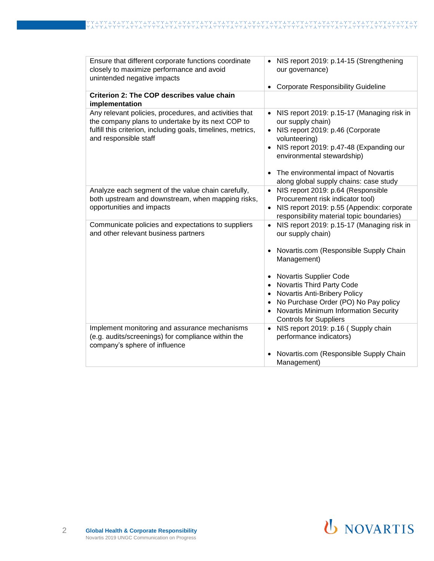| Ensure that different corporate functions coordinate<br>closely to maximize performance and avoid<br>unintended negative impacts                                                                     | NIS report 2019: p.14-15 (Strengthening<br>our governance)<br><b>Corporate Responsibility Guideline</b><br>$\bullet$                                                                                                                                                                                                                                                                                |
|------------------------------------------------------------------------------------------------------------------------------------------------------------------------------------------------------|-----------------------------------------------------------------------------------------------------------------------------------------------------------------------------------------------------------------------------------------------------------------------------------------------------------------------------------------------------------------------------------------------------|
| Criterion 2: The COP describes value chain<br>implementation                                                                                                                                         |                                                                                                                                                                                                                                                                                                                                                                                                     |
| Any relevant policies, procedures, and activities that<br>the company plans to undertake by its next COP to<br>fulfill this criterion, including goals, timelines, metrics,<br>and responsible staff | NIS report 2019: p.15-17 (Managing risk in<br>$\bullet$<br>our supply chain)<br>NIS report 2019: p.46 (Corporate<br>volunteering)<br>NIS report 2019: p.47-48 (Expanding our<br>environmental stewardship)<br>• The environmental impact of Novartis<br>along global supply chains: case study                                                                                                      |
| Analyze each segment of the value chain carefully,<br>both upstream and downstream, when mapping risks,<br>opportunities and impacts                                                                 | NIS report 2019: p.64 (Responsible<br>$\bullet$<br>Procurement risk indicator tool)<br>NIS report 2019: p.55 (Appendix: corporate<br>responsibility material topic boundaries)                                                                                                                                                                                                                      |
| Communicate policies and expectations to suppliers<br>and other relevant business partners                                                                                                           | NIS report 2019: p.15-17 (Managing risk in<br>$\bullet$<br>our supply chain)<br>Novartis.com (Responsible Supply Chain<br>Management)<br><b>Novartis Supplier Code</b><br><b>Novartis Third Party Code</b><br>$\bullet$<br>Novartis Anti-Bribery Policy<br>$\bullet$<br>No Purchase Order (PO) No Pay policy<br>Novartis Minimum Information Security<br>$\bullet$<br><b>Controls for Suppliers</b> |
| Implement monitoring and assurance mechanisms<br>(e.g. audits/screenings) for compliance within the<br>company's sphere of influence                                                                 | NIS report 2019: p.16 (Supply chain<br>$\bullet$<br>performance indicators)<br>Novartis.com (Responsible Supply Chain<br>Management)                                                                                                                                                                                                                                                                |

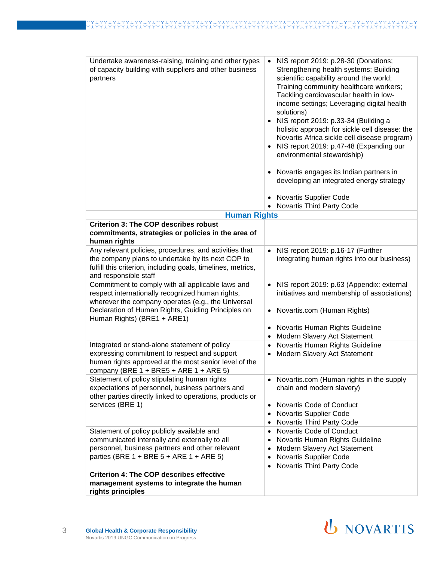| Undertake awareness-raising, training and other types<br>of capacity building with suppliers and other business<br>partners                                                                                                                      | NIS report 2019: p.28-30 (Donations;<br>$\bullet$<br>Strengthening health systems; Building<br>scientific capability around the world;<br>Training community healthcare workers;<br>Tackling cardiovascular health in low-<br>income settings; Leveraging digital health<br>solutions)<br>NIS report 2019: p.33-34 (Building a<br>holistic approach for sickle cell disease: the<br>Novartis Africa sickle cell disease program)<br>NIS report 2019: p.47-48 (Expanding our<br>environmental stewardship)<br>Novartis engages its Indian partners in<br>developing an integrated energy strategy<br><b>Novartis Supplier Code</b> |
|--------------------------------------------------------------------------------------------------------------------------------------------------------------------------------------------------------------------------------------------------|-----------------------------------------------------------------------------------------------------------------------------------------------------------------------------------------------------------------------------------------------------------------------------------------------------------------------------------------------------------------------------------------------------------------------------------------------------------------------------------------------------------------------------------------------------------------------------------------------------------------------------------|
|                                                                                                                                                                                                                                                  | Novartis Third Party Code                                                                                                                                                                                                                                                                                                                                                                                                                                                                                                                                                                                                         |
| <b>Human Rights</b>                                                                                                                                                                                                                              |                                                                                                                                                                                                                                                                                                                                                                                                                                                                                                                                                                                                                                   |
| <b>Criterion 3: The COP describes robust</b><br>commitments, strategies or policies in the area of<br>human rights                                                                                                                               |                                                                                                                                                                                                                                                                                                                                                                                                                                                                                                                                                                                                                                   |
| Any relevant policies, procedures, and activities that<br>the company plans to undertake by its next COP to<br>fulfill this criterion, including goals, timelines, metrics,<br>and responsible staff                                             | NIS report 2019: p.16-17 (Further<br>integrating human rights into our business)                                                                                                                                                                                                                                                                                                                                                                                                                                                                                                                                                  |
| Commitment to comply with all applicable laws and<br>respect internationally recognized human rights,<br>wherever the company operates (e.g., the Universal<br>Declaration of Human Rights, Guiding Principles on<br>Human Rights) (BRE1 + ARE1) | NIS report 2019: p.63 (Appendix: external<br>initiatives and membership of associations)<br>Novartis.com (Human Rights)                                                                                                                                                                                                                                                                                                                                                                                                                                                                                                           |
|                                                                                                                                                                                                                                                  | Novartis Human Rights Guideline<br>$\bullet$<br>Modern Slavery Act Statement<br>٠                                                                                                                                                                                                                                                                                                                                                                                                                                                                                                                                                 |
| Integrated or stand-alone statement of policy                                                                                                                                                                                                    | Novartis Human Rights Guideline                                                                                                                                                                                                                                                                                                                                                                                                                                                                                                                                                                                                   |
| expressing commitment to respect and support<br>human rights approved at the most senior level of the<br>company (BRE $1 + BRE5 + ARE 1 + ARE 5$ )                                                                                               | Modern Slavery Act Statement                                                                                                                                                                                                                                                                                                                                                                                                                                                                                                                                                                                                      |
| Statement of policy stipulating human rights<br>expectations of personnel, business partners and<br>other parties directly linked to operations, products or<br>services (BRE 1)                                                                 | Novartis.com (Human rights in the supply<br>$\bullet$<br>chain and modern slavery)<br>Novartis Code of Conduct<br>٠<br>Novartis Supplier Code<br>Novartis Third Party Code                                                                                                                                                                                                                                                                                                                                                                                                                                                        |
| Statement of policy publicly available and<br>communicated internally and externally to all<br>personnel, business partners and other relevant<br>parties (BRE 1 + BRE 5 + ARE 1 + ARE 5)                                                        | Novartis Code of Conduct<br>Novartis Human Rights Guideline<br>Modern Slavery Act Statement<br>Novartis Supplier Code<br>Novartis Third Party Code<br>٠                                                                                                                                                                                                                                                                                                                                                                                                                                                                           |
| <b>Criterion 4: The COP describes effective</b><br>management systems to integrate the human<br>rights principles                                                                                                                                |                                                                                                                                                                                                                                                                                                                                                                                                                                                                                                                                                                                                                                   |

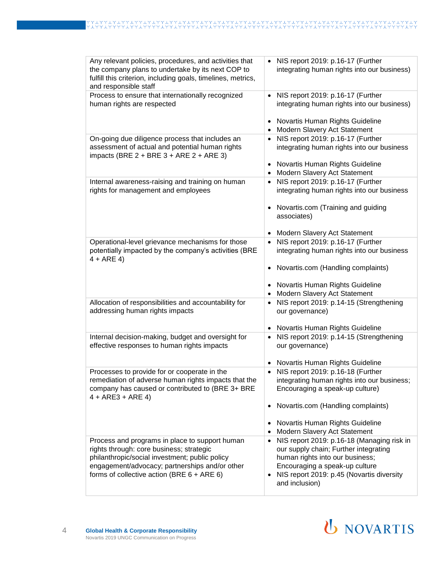| Any relevant policies, procedures, and activities that<br>the company plans to undertake by its next COP to<br>fulfill this criterion, including goals, timelines, metrics,<br>and responsible staff                                            | NIS report 2019: p.16-17 (Further<br>$\bullet$<br>integrating human rights into our business)                                                                                                                                             |
|-------------------------------------------------------------------------------------------------------------------------------------------------------------------------------------------------------------------------------------------------|-------------------------------------------------------------------------------------------------------------------------------------------------------------------------------------------------------------------------------------------|
| Process to ensure that internationally recognized<br>human rights are respected                                                                                                                                                                 | NIS report 2019: p.16-17 (Further<br>$\bullet$<br>integrating human rights into our business)                                                                                                                                             |
|                                                                                                                                                                                                                                                 | Novartis Human Rights Guideline<br>Modern Slavery Act Statement                                                                                                                                                                           |
| On-going due diligence process that includes an<br>assessment of actual and potential human rights<br>impacts (BRE $2 + BRE$ 3 + ARE $2 + ARE$ 3)                                                                                               | NIS report 2019: p.16-17 (Further<br>$\bullet$<br>integrating human rights into our business<br>Novartis Human Rights Guideline<br>$\bullet$                                                                                              |
|                                                                                                                                                                                                                                                 | Modern Slavery Act Statement<br>$\bullet$                                                                                                                                                                                                 |
| Internal awareness-raising and training on human<br>rights for management and employees                                                                                                                                                         | NIS report 2019: p.16-17 (Further<br>$\bullet$<br>integrating human rights into our business                                                                                                                                              |
|                                                                                                                                                                                                                                                 | Novartis.com (Training and guiding<br>$\bullet$<br>associates)                                                                                                                                                                            |
|                                                                                                                                                                                                                                                 | Modern Slavery Act Statement<br>$\bullet$                                                                                                                                                                                                 |
| Operational-level grievance mechanisms for those<br>potentially impacted by the company's activities (BRE<br>$4 + ARE 4$                                                                                                                        | NIS report 2019: p.16-17 (Further<br>$\bullet$<br>integrating human rights into our business                                                                                                                                              |
|                                                                                                                                                                                                                                                 | Novartis.com (Handling complaints)<br>$\bullet$                                                                                                                                                                                           |
|                                                                                                                                                                                                                                                 | Novartis Human Rights Guideline<br>$\bullet$<br>Modern Slavery Act Statement<br>$\bullet$                                                                                                                                                 |
| Allocation of responsibilities and accountability for<br>addressing human rights impacts                                                                                                                                                        | NIS report 2019: p.14-15 (Strengthening<br>$\bullet$<br>our governance)                                                                                                                                                                   |
|                                                                                                                                                                                                                                                 | Novartis Human Rights Guideline<br>$\bullet$                                                                                                                                                                                              |
| Internal decision-making, budget and oversight for<br>effective responses to human rights impacts                                                                                                                                               | NIS report 2019: p.14-15 (Strengthening<br>$\bullet$<br>our governance)                                                                                                                                                                   |
|                                                                                                                                                                                                                                                 | Novartis Human Rights Guideline<br>$\bullet$                                                                                                                                                                                              |
| Processes to provide for or cooperate in the<br>remediation of adverse human rights impacts that the<br>company has caused or contributed to (BRE 3+ BRE<br>$4 + ARE3 + ARE4$                                                                   | NIS report 2019: p.16-18 (Further<br>integrating human rights into our business;<br>Encouraging a speak-up culture)                                                                                                                       |
|                                                                                                                                                                                                                                                 | Novartis.com (Handling complaints)<br>$\bullet$                                                                                                                                                                                           |
|                                                                                                                                                                                                                                                 | Novartis Human Rights Guideline<br>$\bullet$<br>Modern Slavery Act Statement<br>$\bullet$                                                                                                                                                 |
| Process and programs in place to support human<br>rights through: core business; strategic<br>philanthropic/social investment; public policy<br>engagement/advocacy; partnerships and/or other<br>forms of collective action (BRE $6 + ARE 6$ ) | NIS report 2019: p.16-18 (Managing risk in<br>$\bullet$<br>our supply chain; Further integrating<br>human rights into our business;<br>Encouraging a speak-up culture<br>NIS report 2019: p.45 (Novartis diversity<br>٠<br>and inclusion) |
|                                                                                                                                                                                                                                                 |                                                                                                                                                                                                                                           |

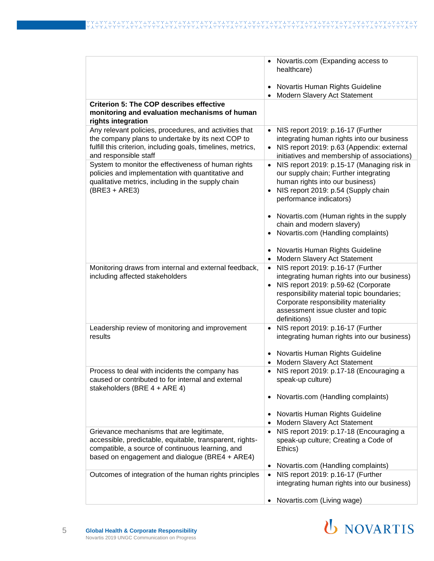|                                                                                                                                                                                                             | Novartis.com (Expanding access to<br>healthcare)                                                                                                                                                                                                                                             |
|-------------------------------------------------------------------------------------------------------------------------------------------------------------------------------------------------------------|----------------------------------------------------------------------------------------------------------------------------------------------------------------------------------------------------------------------------------------------------------------------------------------------|
|                                                                                                                                                                                                             | Novartis Human Rights Guideline<br>$\bullet$<br>Modern Slavery Act Statement<br>$\bullet$                                                                                                                                                                                                    |
| <b>Criterion 5: The COP describes effective</b><br>monitoring and evaluation mechanisms of human<br>rights integration                                                                                      |                                                                                                                                                                                                                                                                                              |
| Any relevant policies, procedures, and activities that<br>the company plans to undertake by its next COP to<br>fulfill this criterion, including goals, timelines, metrics,<br>and responsible staff        | NIS report 2019: p.16-17 (Further<br>$\bullet$<br>integrating human rights into our business<br>NIS report 2019: p.63 (Appendix: external<br>initiatives and membership of associations)                                                                                                     |
| System to monitor the effectiveness of human rights<br>policies and implementation with quantitative and<br>qualitative metrics, including in the supply chain<br>$(BRE3 + ARE3)$                           | NIS report 2019: p.15-17 (Managing risk in<br>$\bullet$<br>our supply chain; Further integrating<br>human rights into our business)<br>NIS report 2019: p.54 (Supply chain<br>$\bullet$<br>performance indicators)                                                                           |
|                                                                                                                                                                                                             | Novartis.com (Human rights in the supply<br>$\bullet$<br>chain and modern slavery)<br>Novartis.com (Handling complaints)<br>$\bullet$<br>Novartis Human Rights Guideline                                                                                                                     |
|                                                                                                                                                                                                             | $\bullet$<br>Modern Slavery Act Statement<br>$\bullet$                                                                                                                                                                                                                                       |
| Monitoring draws from internal and external feedback,<br>including affected stakeholders                                                                                                                    | NIS report 2019: p.16-17 (Further<br>$\bullet$<br>integrating human rights into our business)<br>NIS report 2019: p.59-62 (Corporate<br>$\bullet$<br>responsibility material topic boundaries;<br>Corporate responsibility materiality<br>assessment issue cluster and topic<br>definitions) |
| Leadership review of monitoring and improvement<br>results                                                                                                                                                  | NIS report 2019: p.16-17 (Further<br>$\bullet$<br>integrating human rights into our business)                                                                                                                                                                                                |
|                                                                                                                                                                                                             | Novartis Human Rights Guideline<br>$\bullet$<br>Modern Slavery Act Statement<br>$\bullet$                                                                                                                                                                                                    |
| Process to deal with incidents the company has<br>caused or contributed to for internal and external<br>stakeholders (BRE 4 + ARE 4)                                                                        | NIS report 2019: p.17-18 (Encouraging a<br>$\bullet$<br>speak-up culture)<br>Novartis.com (Handling complaints)<br>$\bullet$                                                                                                                                                                 |
|                                                                                                                                                                                                             | Novartis Human Rights Guideline<br>$\bullet$<br>Modern Slavery Act Statement<br>$\bullet$                                                                                                                                                                                                    |
| Grievance mechanisms that are legitimate,<br>accessible, predictable, equitable, transparent, rights-<br>compatible, a source of continuous learning, and<br>based on engagement and dialogue (BRE4 + ARE4) | NIS report 2019: p.17-18 (Encouraging a<br>$\bullet$<br>speak-up culture; Creating a Code of<br>Ethics)                                                                                                                                                                                      |
|                                                                                                                                                                                                             | Novartis.com (Handling complaints)                                                                                                                                                                                                                                                           |
| Outcomes of integration of the human rights principles                                                                                                                                                      | NIS report 2019: p.16-17 (Further<br>$\bullet$<br>integrating human rights into our business)                                                                                                                                                                                                |
|                                                                                                                                                                                                             | Novartis.com (Living wage)                                                                                                                                                                                                                                                                   |

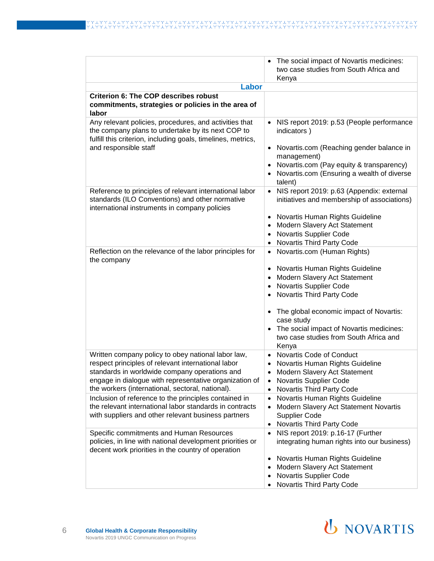|                                                                                                                                                                                                                                                                         | The social impact of Novartis medicines:                                                                                                                                                                                                                                                                                                                                       |
|-------------------------------------------------------------------------------------------------------------------------------------------------------------------------------------------------------------------------------------------------------------------------|--------------------------------------------------------------------------------------------------------------------------------------------------------------------------------------------------------------------------------------------------------------------------------------------------------------------------------------------------------------------------------|
|                                                                                                                                                                                                                                                                         | two case studies from South Africa and<br>Kenya                                                                                                                                                                                                                                                                                                                                |
| Labor                                                                                                                                                                                                                                                                   |                                                                                                                                                                                                                                                                                                                                                                                |
| <b>Criterion 6: The COP describes robust</b><br>commitments, strategies or policies in the area of<br>labor                                                                                                                                                             |                                                                                                                                                                                                                                                                                                                                                                                |
| Any relevant policies, procedures, and activities that<br>the company plans to undertake by its next COP to<br>fulfill this criterion, including goals, timelines, metrics,<br>and responsible staff                                                                    | NIS report 2019: p.53 (People performance<br>indicators)<br>Novartis.com (Reaching gender balance in<br>$\bullet$<br>management)<br>Novartis.com (Pay equity & transparency)<br>$\bullet$<br>Novartis.com (Ensuring a wealth of diverse<br>talent)                                                                                                                             |
| Reference to principles of relevant international labor<br>standards (ILO Conventions) and other normative<br>international instruments in company policies                                                                                                             | NIS report 2019: p.63 (Appendix: external<br>$\bullet$<br>initiatives and membership of associations)<br>Novartis Human Rights Guideline<br>Modern Slavery Act Statement<br>$\bullet$<br>Novartis Supplier Code<br>$\bullet$<br>Novartis Third Party Code<br>$\bullet$                                                                                                         |
| Reflection on the relevance of the labor principles for<br>the company                                                                                                                                                                                                  | Novartis.com (Human Rights)<br>$\bullet$<br>Novartis Human Rights Guideline<br>$\bullet$<br>Modern Slavery Act Statement<br>Novartis Supplier Code<br>$\bullet$<br>Novartis Third Party Code<br>$\bullet$<br>The global economic impact of Novartis:<br>$\bullet$<br>case study<br>The social impact of Novartis medicines:<br>two case studies from South Africa and<br>Kenya |
| Written company policy to obey national labor law,<br>respect principles of relevant international labor<br>standards in worldwide company operations and<br>engage in dialogue with representative organization of<br>the workers (international, sectoral, national). | Novartis Code of Conduct<br>Novartis Human Rights Guideline<br>Modern Slavery Act Statement<br>Novartis Supplier Code<br>$\bullet$<br>Novartis Third Party Code<br>$\bullet$                                                                                                                                                                                                   |
| Inclusion of reference to the principles contained in<br>the relevant international labor standards in contracts<br>with suppliers and other relevant business partners                                                                                                 | Novartis Human Rights Guideline<br>$\bullet$<br>Modern Slavery Act Statement Novartis<br><b>Supplier Code</b><br>Novartis Third Party Code<br>$\bullet$                                                                                                                                                                                                                        |
| Specific commitments and Human Resources<br>policies, in line with national development priorities or<br>decent work priorities in the country of operation                                                                                                             | NIS report 2019: p.16-17 (Further<br>$\bullet$<br>integrating human rights into our business)<br>Novartis Human Rights Guideline<br>$\bullet$<br>Modern Slavery Act Statement<br>$\bullet$<br>Novartis Supplier Code<br>Novartis Third Party Code                                                                                                                              |

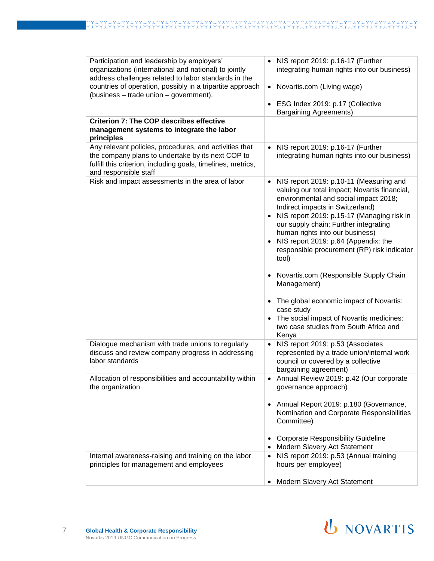| Participation and leadership by employers'<br>organizations (international and national) to jointly<br>address challenges related to labor standards in the                                          | NIS report 2019: p.16-17 (Further<br>integrating human rights into our business)                                                                                                                                                                                                                                                                                                                                                                                                     |
|------------------------------------------------------------------------------------------------------------------------------------------------------------------------------------------------------|--------------------------------------------------------------------------------------------------------------------------------------------------------------------------------------------------------------------------------------------------------------------------------------------------------------------------------------------------------------------------------------------------------------------------------------------------------------------------------------|
| countries of operation, possibly in a tripartite approach<br>(business - trade union - government).                                                                                                  | Novartis.com (Living wage)<br>$\bullet$                                                                                                                                                                                                                                                                                                                                                                                                                                              |
|                                                                                                                                                                                                      | ESG Index 2019: p.17 (Collective<br><b>Bargaining Agreements)</b>                                                                                                                                                                                                                                                                                                                                                                                                                    |
| <b>Criterion 7: The COP describes effective</b><br>management systems to integrate the labor<br>principles                                                                                           |                                                                                                                                                                                                                                                                                                                                                                                                                                                                                      |
| Any relevant policies, procedures, and activities that<br>the company plans to undertake by its next COP to<br>fulfill this criterion, including goals, timelines, metrics,<br>and responsible staff | • NIS report 2019: p.16-17 (Further<br>integrating human rights into our business)                                                                                                                                                                                                                                                                                                                                                                                                   |
| Risk and impact assessments in the area of labor                                                                                                                                                     | NIS report 2019: p.10-11 (Measuring and<br>$\bullet$<br>valuing our total impact; Novartis financial,<br>environmental and social impact 2018;<br>Indirect impacts in Switzerland)<br>NIS report 2019: p.15-17 (Managing risk in<br>our supply chain; Further integrating<br>human rights into our business)<br>NIS report 2019: p.64 (Appendix: the<br>$\bullet$<br>responsible procurement (RP) risk indicator<br>tool)<br>• Novartis.com (Responsible Supply Chain<br>Management) |
|                                                                                                                                                                                                      | • The global economic impact of Novartis:<br>case study<br>The social impact of Novartis medicines:<br>$\bullet$<br>two case studies from South Africa and<br>Kenya                                                                                                                                                                                                                                                                                                                  |
| Dialogue mechanism with trade unions to regularly<br>discuss and review company progress in addressing<br>labor standards                                                                            | NIS report 2019: p.53 (Associates<br>$\bullet$<br>represented by a trade union/internal work<br>council or covered by a collective<br>bargaining agreement)                                                                                                                                                                                                                                                                                                                          |
| Allocation of responsibilities and accountability within<br>the organization                                                                                                                         | Annual Review 2019: p.42 (Our corporate<br>governance approach)                                                                                                                                                                                                                                                                                                                                                                                                                      |
|                                                                                                                                                                                                      | Annual Report 2019: p.180 (Governance,<br>Nomination and Corporate Responsibilities<br>Committee)<br><b>Corporate Responsibility Guideline</b>                                                                                                                                                                                                                                                                                                                                       |
|                                                                                                                                                                                                      | Modern Slavery Act Statement                                                                                                                                                                                                                                                                                                                                                                                                                                                         |
| Internal awareness-raising and training on the labor<br>principles for management and employees                                                                                                      | NIS report 2019: p.53 (Annual training<br>$\bullet$<br>hours per employee)                                                                                                                                                                                                                                                                                                                                                                                                           |
|                                                                                                                                                                                                      | Modern Slavery Act Statement<br>$\bullet$                                                                                                                                                                                                                                                                                                                                                                                                                                            |

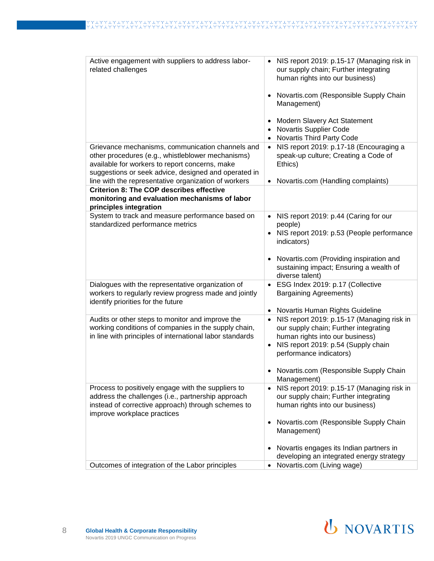| Active engagement with suppliers to address labor-<br>related challenges                                                                                                                                                                                                | NIS report 2019: p.15-17 (Managing risk in<br>our supply chain; Further integrating<br>human rights into our business)<br>Novartis.com (Responsible Supply Chain<br>Management)<br>Modern Slavery Act Statement<br>Novartis Supplier Code<br>$\bullet$<br>Novartis Third Party Code |
|-------------------------------------------------------------------------------------------------------------------------------------------------------------------------------------------------------------------------------------------------------------------------|-------------------------------------------------------------------------------------------------------------------------------------------------------------------------------------------------------------------------------------------------------------------------------------|
| Grievance mechanisms, communication channels and<br>other procedures (e.g., whistleblower mechanisms)<br>available for workers to report concerns, make<br>suggestions or seek advice, designed and operated in<br>line with the representative organization of workers | NIS report 2019: p.17-18 (Encouraging a<br>$\bullet$<br>speak-up culture; Creating a Code of<br>Ethics)<br>Novartis.com (Handling complaints)<br>$\bullet$                                                                                                                          |
| <b>Criterion 8: The COP describes effective</b>                                                                                                                                                                                                                         |                                                                                                                                                                                                                                                                                     |
| monitoring and evaluation mechanisms of labor<br>principles integration                                                                                                                                                                                                 |                                                                                                                                                                                                                                                                                     |
| System to track and measure performance based on<br>standardized performance metrics                                                                                                                                                                                    | NIS report 2019: p.44 (Caring for our<br>$\bullet$<br>people)<br>• NIS report 2019: p.53 (People performance<br>indicators)<br>• Novartis.com (Providing inspiration and<br>sustaining impact; Ensuring a wealth of                                                                 |
| Dialogues with the representative organization of<br>workers to regularly review progress made and jointly<br>identify priorities for the future                                                                                                                        | diverse talent)<br>• ESG Index 2019: p.17 (Collective<br><b>Bargaining Agreements)</b>                                                                                                                                                                                              |
|                                                                                                                                                                                                                                                                         | Novartis Human Rights Guideline<br>$\bullet$                                                                                                                                                                                                                                        |
| Audits or other steps to monitor and improve the<br>working conditions of companies in the supply chain,<br>in line with principles of international labor standards                                                                                                    | NIS report 2019: p.15-17 (Managing risk in<br>$\bullet$<br>our supply chain; Further integrating<br>human rights into our business)<br>NIS report 2019: p.54 (Supply chain<br>performance indicators)<br>Novartis.com (Responsible Supply Chain<br>Management)                      |
| Process to positively engage with the suppliers to<br>address the challenges (i.e., partnership approach<br>instead of corrective approach) through schemes to<br>improve workplace practices                                                                           | NIS report 2019: p.15-17 (Managing risk in<br>our supply chain; Further integrating<br>human rights into our business)<br>Novartis.com (Responsible Supply Chain<br>Management)                                                                                                     |
|                                                                                                                                                                                                                                                                         | Novartis engages its Indian partners in<br>developing an integrated energy strategy                                                                                                                                                                                                 |
| Outcomes of integration of the Labor principles                                                                                                                                                                                                                         | Novartis.com (Living wage)                                                                                                                                                                                                                                                          |

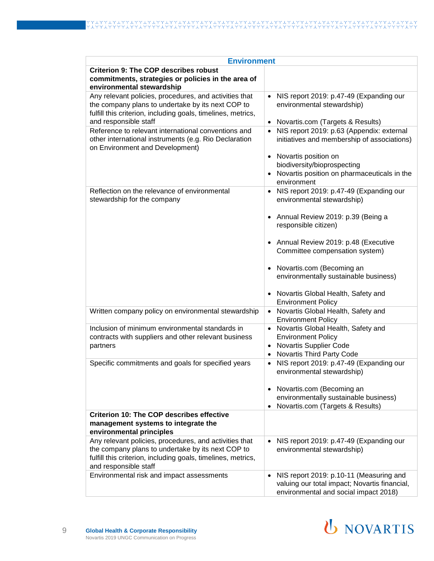| <b>Environment</b>                                                                                                                                                                                                                                                                                                                                      |                                                                                                                                                                                                                                                                                                       |
|---------------------------------------------------------------------------------------------------------------------------------------------------------------------------------------------------------------------------------------------------------------------------------------------------------------------------------------------------------|-------------------------------------------------------------------------------------------------------------------------------------------------------------------------------------------------------------------------------------------------------------------------------------------------------|
| <b>Criterion 9: The COP describes robust</b><br>commitments, strategies or policies in the area of<br>environmental stewardship                                                                                                                                                                                                                         |                                                                                                                                                                                                                                                                                                       |
| Any relevant policies, procedures, and activities that<br>the company plans to undertake by its next COP to<br>fulfill this criterion, including goals, timelines, metrics,<br>and responsible staff<br>Reference to relevant international conventions and<br>other international instruments (e.g. Rio Declaration<br>on Environment and Development) | NIS report 2019: p.47-49 (Expanding our<br>$\bullet$<br>environmental stewardship)<br>Novartis.com (Targets & Results)<br>$\bullet$<br>NIS report 2019: p.63 (Appendix: external<br>$\bullet$<br>initiatives and membership of associations)<br>• Novartis position on<br>biodiversity/bioprospecting |
|                                                                                                                                                                                                                                                                                                                                                         | Novartis position on pharmaceuticals in the<br>environment                                                                                                                                                                                                                                            |
| Reflection on the relevance of environmental<br>stewardship for the company                                                                                                                                                                                                                                                                             | NIS report 2019: p.47-49 (Expanding our<br>environmental stewardship)<br>• Annual Review 2019: p.39 (Being a<br>responsible citizen)<br>• Annual Review 2019: p.48 (Executive<br>Committee compensation system)                                                                                       |
|                                                                                                                                                                                                                                                                                                                                                         | Novartis.com (Becoming an<br>$\bullet$<br>environmentally sustainable business)<br>Novartis Global Health, Safety and<br>$\bullet$<br><b>Environment Policy</b>                                                                                                                                       |
| Written company policy on environmental stewardship                                                                                                                                                                                                                                                                                                     | Novartis Global Health, Safety and<br><b>Environment Policy</b>                                                                                                                                                                                                                                       |
| Inclusion of minimum environmental standards in<br>contracts with suppliers and other relevant business<br>partners                                                                                                                                                                                                                                     | Novartis Global Health, Safety and<br><b>Environment Policy</b><br><b>Novartis Supplier Code</b><br>Novartis Third Party Code                                                                                                                                                                         |
| Specific commitments and goals for specified years                                                                                                                                                                                                                                                                                                      | NIS report 2019: p.47-49 (Expanding our<br>environmental stewardship)<br>• Novartis.com (Becoming an<br>environmentally sustainable business)<br>Novartis.com (Targets & Results)<br>$\bullet$                                                                                                        |
| <b>Criterion 10: The COP describes effective</b><br>management systems to integrate the<br>environmental principles                                                                                                                                                                                                                                     |                                                                                                                                                                                                                                                                                                       |
| Any relevant policies, procedures, and activities that<br>the company plans to undertake by its next COP to<br>fulfill this criterion, including goals, timelines, metrics,<br>and responsible staff                                                                                                                                                    | NIS report 2019: p.47-49 (Expanding our<br>$\bullet$<br>environmental stewardship)                                                                                                                                                                                                                    |
| Environmental risk and impact assessments                                                                                                                                                                                                                                                                                                               | NIS report 2019: p.10-11 (Measuring and<br>$\bullet$<br>valuing our total impact; Novartis financial,<br>environmental and social impact 2018)                                                                                                                                                        |

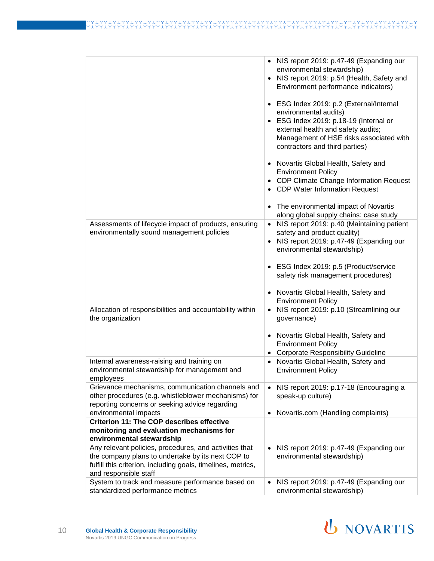|                                                                                                                                                                                                      | • NIS report 2019: p.47-49 (Expanding our<br>environmental stewardship)<br>NIS report 2019: p.54 (Health, Safety and<br>Environment performance indicators)<br>ESG Index 2019: p.2 (External/Internal<br>environmental audits)<br>ESG Index 2019: p.18-19 (Internal or<br>external health and safety audits;<br>Management of HSE risks associated with<br>contractors and third parties)<br>• Novartis Global Health, Safety and<br><b>Environment Policy</b><br>• CDP Climate Change Information Request<br>• CDP Water Information Request |
|------------------------------------------------------------------------------------------------------------------------------------------------------------------------------------------------------|-----------------------------------------------------------------------------------------------------------------------------------------------------------------------------------------------------------------------------------------------------------------------------------------------------------------------------------------------------------------------------------------------------------------------------------------------------------------------------------------------------------------------------------------------|
|                                                                                                                                                                                                      | The environmental impact of Novartis<br>$\bullet$                                                                                                                                                                                                                                                                                                                                                                                                                                                                                             |
| Assessments of lifecycle impact of products, ensuring<br>environmentally sound management policies                                                                                                   | along global supply chains: case study<br>NIS report 2019: p.40 (Maintaining patient<br>safety and product quality)<br>• NIS report 2019: p.47-49 (Expanding our<br>environmental stewardship)                                                                                                                                                                                                                                                                                                                                                |
|                                                                                                                                                                                                      | • ESG Index 2019: p.5 (Product/service<br>safety risk management procedures)<br>• Novartis Global Health, Safety and                                                                                                                                                                                                                                                                                                                                                                                                                          |
| Allocation of responsibilities and accountability within                                                                                                                                             | <b>Environment Policy</b><br>NIS report 2019: p.10 (Streamlining our                                                                                                                                                                                                                                                                                                                                                                                                                                                                          |
| the organization                                                                                                                                                                                     | governance)<br>• Novartis Global Health, Safety and                                                                                                                                                                                                                                                                                                                                                                                                                                                                                           |
|                                                                                                                                                                                                      | <b>Environment Policy</b><br><b>Corporate Responsibility Guideline</b><br>٠                                                                                                                                                                                                                                                                                                                                                                                                                                                                   |
| Internal awareness-raising and training on<br>environmental stewardship for management and<br>employees                                                                                              | Novartis Global Health, Safety and<br><b>Environment Policy</b>                                                                                                                                                                                                                                                                                                                                                                                                                                                                               |
| Grievance mechanisms, communication channels and<br>other procedures (e.g. whistleblower mechanisms) for<br>reporting concerns or seeking advice regarding                                           | NIS report 2019: p.17-18 (Encouraging a<br>$\bullet$<br>speak-up culture)                                                                                                                                                                                                                                                                                                                                                                                                                                                                     |
| environmental impacts                                                                                                                                                                                | Novartis.com (Handling complaints)                                                                                                                                                                                                                                                                                                                                                                                                                                                                                                            |
| <b>Criterion 11: The COP describes effective</b><br>monitoring and evaluation mechanisms for<br>environmental stewardship                                                                            |                                                                                                                                                                                                                                                                                                                                                                                                                                                                                                                                               |
| Any relevant policies, procedures, and activities that<br>the company plans to undertake by its next COP to<br>fulfill this criterion, including goals, timelines, metrics,<br>and responsible staff | NIS report 2019: p.47-49 (Expanding our<br>$\bullet$<br>environmental stewardship)                                                                                                                                                                                                                                                                                                                                                                                                                                                            |
| System to track and measure performance based on<br>standardized performance metrics                                                                                                                 | NIS report 2019: p.47-49 (Expanding our<br>$\bullet$<br>environmental stewardship)                                                                                                                                                                                                                                                                                                                                                                                                                                                            |

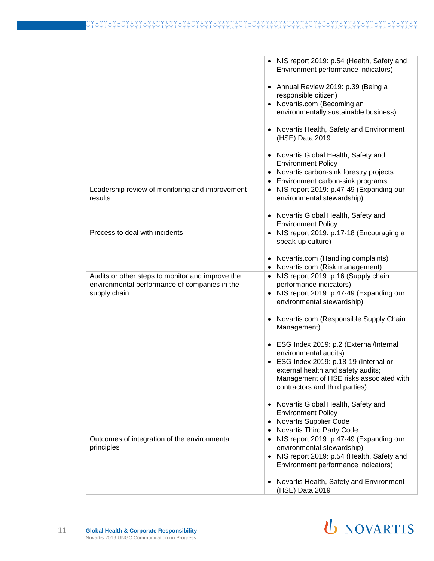## イン TYY<br>T ≎ ≎

|                                                                                                   | NIS report 2019: p.54 (Health, Safety and<br>Environment performance indicators) |
|---------------------------------------------------------------------------------------------------|----------------------------------------------------------------------------------|
|                                                                                                   | • Annual Review 2019: p.39 (Being a                                              |
|                                                                                                   | responsible citizen)                                                             |
|                                                                                                   | • Novartis.com (Becoming an<br>environmentally sustainable business)             |
|                                                                                                   | Novartis Health, Safety and Environment<br>(HSE) Data 2019                       |
|                                                                                                   | Novartis Global Health, Safety and<br><b>Environment Policy</b>                  |
|                                                                                                   | Novartis carbon-sink forestry projects                                           |
|                                                                                                   | Environment carbon-sink programs                                                 |
| Leadership review of monitoring and improvement<br>results                                        | NIS report 2019: p.47-49 (Expanding our<br>environmental stewardship)            |
|                                                                                                   | • Novartis Global Health, Safety and<br><b>Environment Policy</b>                |
| Process to deal with incidents                                                                    | NIS report 2019: p.17-18 (Encouraging a                                          |
|                                                                                                   | speak-up culture)                                                                |
|                                                                                                   | Novartis.com (Handling complaints)                                               |
|                                                                                                   | Novartis.com (Risk management)                                                   |
| Audits or other steps to monitor and improve the<br>environmental performance of companies in the | NIS report 2019: p.16 (Supply chain<br>performance indicators)                   |
| supply chain                                                                                      | • NIS report 2019: p.47-49 (Expanding our                                        |
|                                                                                                   | environmental stewardship)                                                       |
|                                                                                                   | Novartis.com (Responsible Supply Chain<br>Management)                            |
|                                                                                                   | • ESG Index 2019: p.2 (External/Internal<br>environmental audits)                |
|                                                                                                   | • ESG Index 2019: p.18-19 (Internal or                                           |
|                                                                                                   | external health and safety audits;                                               |
|                                                                                                   | Management of HSE risks associated with                                          |
|                                                                                                   | contractors and third parties)                                                   |
|                                                                                                   | Novartis Global Health, Safety and                                               |
|                                                                                                   | <b>Environment Policy</b>                                                        |
|                                                                                                   | Novartis Supplier Code                                                           |
|                                                                                                   | Novartis Third Party Code                                                        |
| Outcomes of integration of the environmental                                                      | NIS report 2019: p.47-49 (Expanding our<br>environmental stewardship)            |
| principles                                                                                        | NIS report 2019: p.54 (Health, Safety and                                        |
|                                                                                                   | Environment performance indicators)                                              |
|                                                                                                   | Novartis Health, Safety and Environment                                          |
|                                                                                                   | (HSE) Data 2019                                                                  |
|                                                                                                   |                                                                                  |

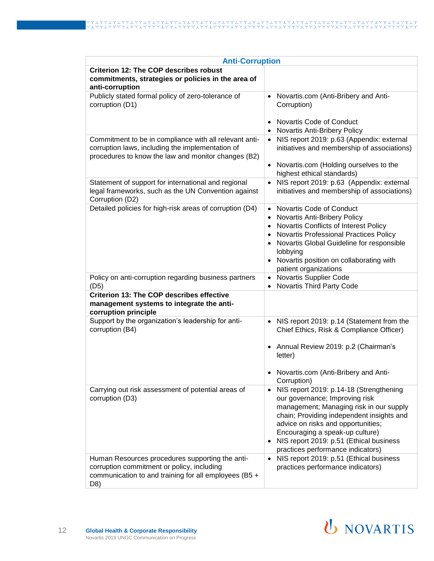| <b>Anti-Corruption</b>                                                                                                                                            |                                                                                                                                                                                                                                                                                                                                         |
|-------------------------------------------------------------------------------------------------------------------------------------------------------------------|-----------------------------------------------------------------------------------------------------------------------------------------------------------------------------------------------------------------------------------------------------------------------------------------------------------------------------------------|
| <b>Criterion 12: The COP describes robust</b><br>commitments, strategies or policies in the area of<br>anti-corruption                                            |                                                                                                                                                                                                                                                                                                                                         |
| Publicly stated formal policy of zero-tolerance of<br>corruption (D1)                                                                                             | Novartis.com (Anti-Bribery and Anti-<br>$\bullet$<br>Corruption)<br>Novartis Code of Conduct<br>Novartis Anti-Bribery Policy                                                                                                                                                                                                            |
| Commitment to be in compliance with all relevant anti-<br>corruption laws, including the implementation of<br>procedures to know the law and monitor changes (B2) | NIS report 2019: p.63 (Appendix: external<br>initiatives and membership of associations)<br>• Novartis.com (Holding ourselves to the<br>highest ethical standards)                                                                                                                                                                      |
| Statement of support for international and regional<br>legal frameworks, such as the UN Convention against<br>Corruption (D2)                                     | NIS report 2019: p.63 (Appendix: external<br>$\bullet$<br>initiatives and membership of associations)                                                                                                                                                                                                                                   |
| Detailed policies for high-risk areas of corruption (D4)                                                                                                          | Novartis Code of Conduct<br>$\bullet$<br>Novartis Anti-Bribery Policy<br>Novartis Conflicts of Interest Policy<br>Novartis Professional Practices Policy<br>$\bullet$<br>Novartis Global Guideline for responsible<br>$\bullet$<br>lobbying<br>Novartis position on collaborating with<br>patient organizations                         |
| Policy on anti-corruption regarding business partners<br>(D5)                                                                                                     | Novartis Supplier Code<br>Novartis Third Party Code                                                                                                                                                                                                                                                                                     |
| <b>Criterion 13: The COP describes effective</b><br>management systems to integrate the anti-<br>corruption principle                                             |                                                                                                                                                                                                                                                                                                                                         |
| Support by the organization's leadership for anti-<br>corruption (B4)                                                                                             | NIS report 2019: p.14 (Statement from the<br>Chief Ethics, Risk & Compliance Officer)<br>Annual Review 2019: p.2 (Chairman's<br>$\bullet$<br>letter)<br>Novartis.com (Anti-Bribery and Anti-<br>Corruption)                                                                                                                             |
| Carrying out risk assessment of potential areas of<br>corruption (D3)                                                                                             | NIS report 2019: p.14-18 (Strengthening<br>$\bullet$<br>our governance; Improving risk<br>management; Managing risk in our supply<br>chain; Providing independent insights and<br>advice on risks and opportunities;<br>Encouraging a speak-up culture)<br>NIS report 2019: p.51 (Ethical business<br>practices performance indicators) |
| Human Resources procedures supporting the anti-<br>corruption commitment or policy, including<br>communication to and training for all employees (B5 +<br>D8)     | NIS report 2019: p.51 (Ethical business<br>$\bullet$<br>practices performance indicators)                                                                                                                                                                                                                                               |

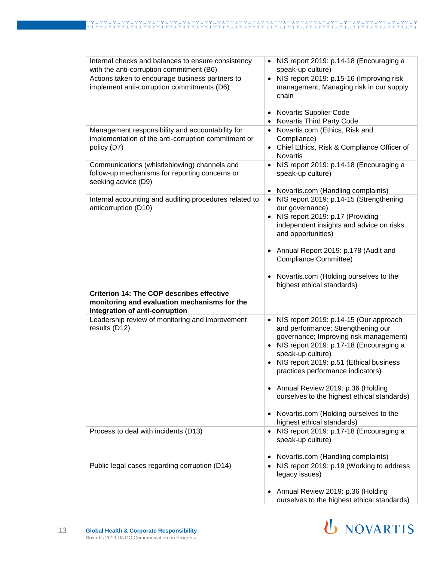| Internal checks and balances to ensure consistency<br>with the anti-corruption commitment (B6)                                     | NIS report 2019: p.14-18 (Encouraging a<br>speak-up culture)                                                                                                                                                                                                                          |
|------------------------------------------------------------------------------------------------------------------------------------|---------------------------------------------------------------------------------------------------------------------------------------------------------------------------------------------------------------------------------------------------------------------------------------|
| Actions taken to encourage business partners to<br>implement anti-corruption commitments (D6)                                      | NIS report 2019: p.15-16 (Improving risk<br>$\bullet$<br>management; Managing risk in our supply<br>chain<br><b>Novartis Supplier Code</b><br>٠                                                                                                                                       |
|                                                                                                                                    | Novartis Third Party Code<br>$\bullet$                                                                                                                                                                                                                                                |
| Management responsibility and accountability for<br>implementation of the anti-corruption commitment or<br>policy (D7)             | Novartis.com (Ethics, Risk and<br>$\bullet$<br>Compliance)<br>• Chief Ethics, Risk & Compliance Officer of<br><b>Novartis</b>                                                                                                                                                         |
| Communications (whistleblowing) channels and<br>follow-up mechanisms for reporting concerns or<br>seeking advice (D9)              | NIS report 2019: p.14-18 (Encouraging a<br>$\bullet$<br>speak-up culture)<br>Novartis.com (Handling complaints)<br>$\bullet$                                                                                                                                                          |
| Internal accounting and auditing procedures related to<br>anticorruption (D10)                                                     | NIS report 2019: p.14-15 (Strengthening<br>$\bullet$<br>our governance)<br>• NIS report 2019: p.17 (Providing<br>independent insights and advice on risks<br>and opportunities)<br>• Annual Report 2019: p.178 (Audit and<br>Compliance Committee)                                    |
|                                                                                                                                    | Novartis.com (Holding ourselves to the<br>$\bullet$<br>highest ethical standards)                                                                                                                                                                                                     |
| <b>Criterion 14: The COP describes effective</b><br>monitoring and evaluation mechanisms for the<br>integration of anti-corruption |                                                                                                                                                                                                                                                                                       |
| Leadership review of monitoring and improvement<br>results (D12)                                                                   | NIS report 2019: p.14-15 (Our approach<br>$\bullet$<br>and performance; Strengthening our<br>governance; Improving risk management)<br>• NIS report 2019: p.17-18 (Encouraging a<br>speak-up culture)<br>NIS report 2019: p.51 (Ethical business<br>practices performance indicators) |
|                                                                                                                                    | Annual Review 2019: p.36 (Holding<br>$\bullet$<br>ourselves to the highest ethical standards)<br>Novartis.com (Holding ourselves to the<br>٠<br>highest ethical standards)                                                                                                            |
| Process to deal with incidents (D13)                                                                                               | • NIS report 2019: p.17-18 (Encouraging a<br>speak-up culture)<br>Novartis.com (Handling complaints)                                                                                                                                                                                  |
| Public legal cases regarding corruption (D14)                                                                                      | • NIS report 2019: p.19 (Working to address                                                                                                                                                                                                                                           |
|                                                                                                                                    | legacy issues)<br>Annual Review 2019: p.36 (Holding<br>ourselves to the highest ethical standards)                                                                                                                                                                                    |

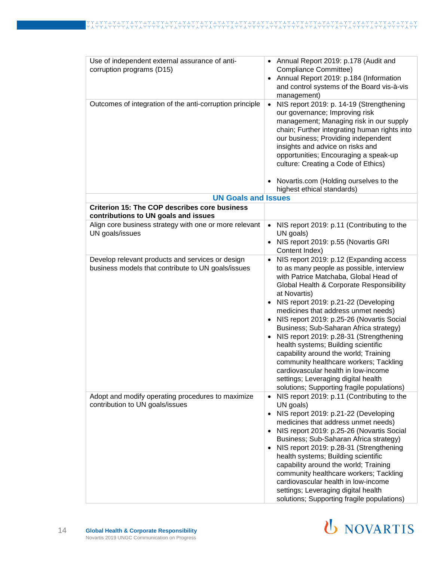| Use of independent external assurance of anti-<br>corruption programs (D15)                            | Annual Report 2019: p.178 (Audit and<br>$\bullet$<br>Compliance Committee)<br>Annual Report 2019: p.184 (Information<br>$\bullet$<br>and control systems of the Board vis-à-vis<br>management)                                                                                                                                                                                                                                                                                                                                                                                                                                                                                                                      |
|--------------------------------------------------------------------------------------------------------|---------------------------------------------------------------------------------------------------------------------------------------------------------------------------------------------------------------------------------------------------------------------------------------------------------------------------------------------------------------------------------------------------------------------------------------------------------------------------------------------------------------------------------------------------------------------------------------------------------------------------------------------------------------------------------------------------------------------|
| Outcomes of integration of the anti-corruption principle                                               | NIS report 2019: p. 14-19 (Strengthening<br>$\bullet$<br>our governance; Improving risk<br>management; Managing risk in our supply<br>chain; Further integrating human rights into<br>our business; Providing independent<br>insights and advice on risks and<br>opportunities; Encouraging a speak-up<br>culture: Creating a Code of Ethics)<br>Novartis.com (Holding ourselves to the                                                                                                                                                                                                                                                                                                                             |
| <b>UN Goals and Issues</b>                                                                             | highest ethical standards)                                                                                                                                                                                                                                                                                                                                                                                                                                                                                                                                                                                                                                                                                          |
| <b>Criterion 15: The COP describes core business</b>                                                   |                                                                                                                                                                                                                                                                                                                                                                                                                                                                                                                                                                                                                                                                                                                     |
| contributions to UN goals and issues                                                                   |                                                                                                                                                                                                                                                                                                                                                                                                                                                                                                                                                                                                                                                                                                                     |
| Align core business strategy with one or more relevant<br>UN goals/issues                              | NIS report 2019: p.11 (Contributing to the<br>$\bullet$<br>UN goals)<br>NIS report 2019: p.55 (Novartis GRI<br>$\bullet$<br>Content Index)                                                                                                                                                                                                                                                                                                                                                                                                                                                                                                                                                                          |
| Develop relevant products and services or design<br>business models that contribute to UN goals/issues | NIS report 2019: p.12 (Expanding access<br>$\bullet$<br>to as many people as possible, interview<br>with Patrice Matchaba, Global Head of<br>Global Health & Corporate Responsibility<br>at Novartis)<br>NIS report 2019: p.21-22 (Developing<br>$\bullet$<br>medicines that address unmet needs)<br>NIS report 2019: p.25-26 (Novartis Social<br>$\bullet$<br>Business; Sub-Saharan Africa strategy)<br>NIS report 2019: p.28-31 (Strengthening<br>$\bullet$<br>health systems; Building scientific<br>capability around the world; Training<br>community healthcare workers; Tackling<br>cardiovascular health in Iow-income<br>settings; Leveraging digital health<br>solutions; Supporting fragile populations) |
| Adopt and modify operating procedures to maximize<br>contribution to UN goals/issues                   | NIS report 2019: p.11 (Contributing to the<br>$\bullet$<br>UN goals)<br>NIS report 2019: p.21-22 (Developing<br>$\bullet$<br>medicines that address unmet needs)<br>NIS report 2019: p.25-26 (Novartis Social<br>$\bullet$<br>Business; Sub-Saharan Africa strategy)<br>NIS report 2019: p.28-31 (Strengthening<br>$\bullet$<br>health systems; Building scientific<br>capability around the world; Training<br>community healthcare workers; Tackling<br>cardiovascular health in low-income<br>settings; Leveraging digital health<br>solutions; Supporting fragile populations)                                                                                                                                  |

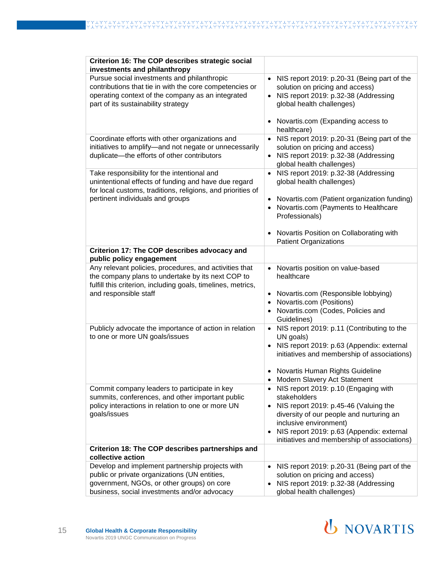| Criterion 16: The COP describes strategic social<br>investments and philanthropy                                                                                                                     |                                                                                                                                                                                                                                                                                           |
|------------------------------------------------------------------------------------------------------------------------------------------------------------------------------------------------------|-------------------------------------------------------------------------------------------------------------------------------------------------------------------------------------------------------------------------------------------------------------------------------------------|
| Pursue social investments and philanthropic<br>contributions that tie in with the core competencies or<br>operating context of the company as an integrated<br>part of its sustainability strategy   | NIS report 2019: p.20-31 (Being part of the<br>$\bullet$<br>solution on pricing and access)<br>NIS report 2019: p.32-38 (Addressing<br>$\bullet$<br>global health challenges)                                                                                                             |
|                                                                                                                                                                                                      | Novartis.com (Expanding access to<br>healthcare)                                                                                                                                                                                                                                          |
| Coordinate efforts with other organizations and<br>initiatives to amplify-and not negate or unnecessarily<br>duplicate-the efforts of other contributors                                             | NIS report 2019: p.20-31 (Being part of the<br>solution on pricing and access)<br>NIS report 2019: p.32-38 (Addressing<br>global health challenges)                                                                                                                                       |
| Take responsibility for the intentional and<br>unintentional effects of funding and have due regard<br>for local customs, traditions, religions, and priorities of                                   | NIS report 2019: p.32-38 (Addressing<br>$\bullet$<br>global health challenges)                                                                                                                                                                                                            |
| pertinent individuals and groups                                                                                                                                                                     | Novartis.com (Patient organization funding)<br>Novartis.com (Payments to Healthcare<br>Professionals)                                                                                                                                                                                     |
|                                                                                                                                                                                                      | Novartis Position on Collaborating with<br><b>Patient Organizations</b>                                                                                                                                                                                                                   |
| Criterion 17: The COP describes advocacy and<br>public policy engagement                                                                                                                             |                                                                                                                                                                                                                                                                                           |
| Any relevant policies, procedures, and activities that<br>the company plans to undertake by its next COP to<br>fulfill this criterion, including goals, timelines, metrics,<br>and responsible staff | Novartis position on value-based<br>$\bullet$<br>healthcare<br>Novartis.com (Responsible lobbying)<br>$\bullet$                                                                                                                                                                           |
|                                                                                                                                                                                                      | Novartis.com (Positions)<br>$\bullet$<br>Novartis.com (Codes, Policies and<br>Guidelines)                                                                                                                                                                                                 |
| Publicly advocate the importance of action in relation<br>to one or more UN goals/issues                                                                                                             | NIS report 2019: p.11 (Contributing to the<br>$\bullet$<br>UN goals)<br>NIS report 2019: p.63 (Appendix: external<br>$\bullet$<br>initiatives and membership of associations)<br>• Novartis Human Rights Guideline                                                                        |
|                                                                                                                                                                                                      | <b>Modern Slavery Act Statement</b>                                                                                                                                                                                                                                                       |
| Commit company leaders to participate in key<br>summits, conferences, and other important public<br>policy interactions in relation to one or more UN<br>goals/issues                                | NIS report 2019: p.10 (Engaging with<br>$\bullet$<br>stakeholders<br>NIS report 2019: p.45-46 (Valuing the<br>$\bullet$<br>diversity of our people and nurturing an<br>inclusive environment)<br>NIS report 2019: p.63 (Appendix: external<br>initiatives and membership of associations) |
| Criterion 18: The COP describes partnerships and<br>collective action                                                                                                                                |                                                                                                                                                                                                                                                                                           |
| Develop and implement partnership projects with<br>public or private organizations (UN entities,<br>government, NGOs, or other groups) on core<br>business, social investments and/or advocacy       | NIS report 2019: p.20-31 (Being part of the<br>$\bullet$<br>solution on pricing and access)<br>NIS report 2019: p.32-38 (Addressing<br>global health challenges)                                                                                                                          |

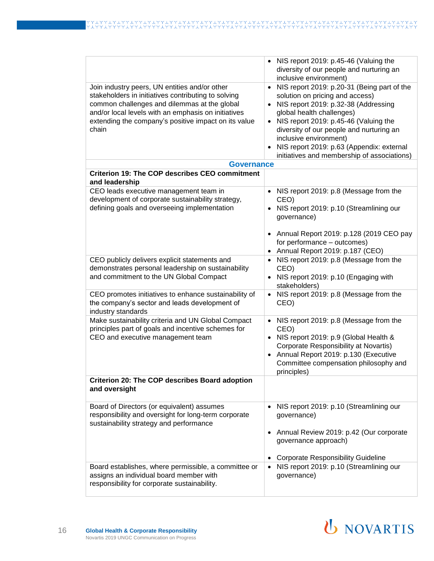|                                                                                                                                                                                                                                                                              | NIS report 2019: p.45-46 (Valuing the<br>diversity of our people and nurturing an<br>inclusive environment)                                                                                                                                                                                                                                                      |
|------------------------------------------------------------------------------------------------------------------------------------------------------------------------------------------------------------------------------------------------------------------------------|------------------------------------------------------------------------------------------------------------------------------------------------------------------------------------------------------------------------------------------------------------------------------------------------------------------------------------------------------------------|
| Join industry peers, UN entities and/or other<br>stakeholders in initiatives contributing to solving<br>common challenges and dilemmas at the global<br>and/or local levels with an emphasis on initiatives<br>extending the company's positive impact on its value<br>chain | NIS report 2019: p.20-31 (Being part of the<br>solution on pricing and access)<br>NIS report 2019: p.32-38 (Addressing<br>global health challenges)<br>• NIS report 2019: p.45-46 (Valuing the<br>diversity of our people and nurturing an<br>inclusive environment)<br>NIS report 2019: p.63 (Appendix: external<br>initiatives and membership of associations) |
| <b>Governance</b>                                                                                                                                                                                                                                                            |                                                                                                                                                                                                                                                                                                                                                                  |
| <b>Criterion 19: The COP describes CEO commitment</b><br>and leadership                                                                                                                                                                                                      |                                                                                                                                                                                                                                                                                                                                                                  |
| CEO leads executive management team in<br>development of corporate sustainability strategy,<br>defining goals and overseeing implementation                                                                                                                                  | • NIS report 2019: p.8 (Message from the<br>CEO)<br>NIS report 2019: p.10 (Streamlining our<br>governance)<br>• Annual Report 2019: p.128 (2019 CEO pay                                                                                                                                                                                                          |
|                                                                                                                                                                                                                                                                              | for performance - outcomes)<br>Annual Report 2019: p.187 (CEO)                                                                                                                                                                                                                                                                                                   |
| CEO publicly delivers explicit statements and<br>demonstrates personal leadership on sustainability<br>and commitment to the UN Global Compact                                                                                                                               | NIS report 2019: p.8 (Message from the<br>CEO)<br>• NIS report 2019: p.10 (Engaging with<br>stakeholders)                                                                                                                                                                                                                                                        |
| CEO promotes initiatives to enhance sustainability of<br>the company's sector and leads development of<br>industry standards                                                                                                                                                 | NIS report 2019: p.8 (Message from the<br>$\bullet$<br>CEO)                                                                                                                                                                                                                                                                                                      |
| Make sustainability criteria and UN Global Compact<br>principles part of goals and incentive schemes for<br>CEO and executive management team                                                                                                                                | • NIS report 2019: p.8 (Message from the<br>CEO)<br>• NIS report 2019: p.9 (Global Health &<br>Corporate Responsibility at Novartis)<br>• Annual Report 2019: p.130 (Executive<br>Committee compensation philosophy and<br>principles)                                                                                                                           |
| Criterion 20: The COP describes Board adoption<br>and oversight                                                                                                                                                                                                              |                                                                                                                                                                                                                                                                                                                                                                  |
| Board of Directors (or equivalent) assumes<br>responsibility and oversight for long-term corporate<br>sustainability strategy and performance                                                                                                                                | NIS report 2019: p.10 (Streamlining our<br>governance)<br>Annual Review 2019: p.42 (Our corporate<br>governance approach)<br><b>Corporate Responsibility Guideline</b>                                                                                                                                                                                           |
| Board establishes, where permissible, a committee or<br>assigns an individual board member with<br>responsibility for corporate sustainability.                                                                                                                              | NIS report 2019: p.10 (Streamlining our<br>governance)                                                                                                                                                                                                                                                                                                           |

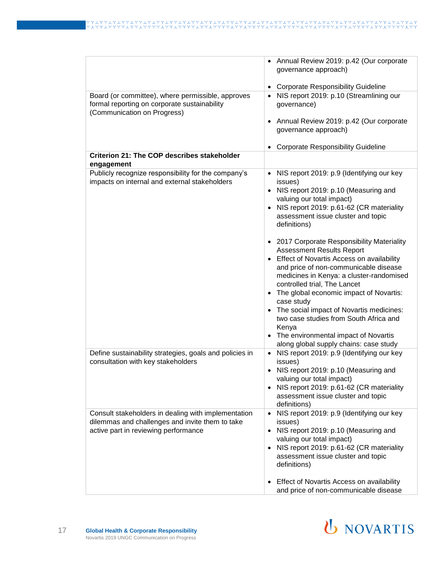|                                                                                                                                  | Annual Review 2019: p.42 (Our corporate<br>governance approach)                    |
|----------------------------------------------------------------------------------------------------------------------------------|------------------------------------------------------------------------------------|
|                                                                                                                                  | <b>Corporate Responsibility Guideline</b>                                          |
| Board (or committee), where permissible, approves<br>formal reporting on corporate sustainability<br>(Communication on Progress) | NIS report 2019: p.10 (Streamlining our<br>$\bullet$<br>governance)                |
|                                                                                                                                  | Annual Review 2019: p.42 (Our corporate<br>governance approach)                    |
|                                                                                                                                  | <b>Corporate Responsibility Guideline</b>                                          |
| <b>Criterion 21: The COP describes stakeholder</b><br>engagement                                                                 |                                                                                    |
| Publicly recognize responsibility for the company's                                                                              | NIS report 2019: p.9 (Identifying our key<br>$\bullet$                             |
| impacts on internal and external stakeholders                                                                                    | issues)                                                                            |
|                                                                                                                                  | • NIS report 2019: p.10 (Measuring and<br>valuing our total impact)                |
|                                                                                                                                  | NIS report 2019: p.61-62 (CR materiality                                           |
|                                                                                                                                  | assessment issue cluster and topic<br>definitions)                                 |
|                                                                                                                                  | • 2017 Corporate Responsibility Materiality<br><b>Assessment Results Report</b>    |
|                                                                                                                                  | Effect of Novartis Access on availability<br>and price of non-communicable disease |
|                                                                                                                                  | medicines in Kenya: a cluster-randomised<br>controlled trial, The Lancet           |
|                                                                                                                                  | • The global economic impact of Novartis:<br>case study                            |
|                                                                                                                                  | • The social impact of Novartis medicines:                                         |
|                                                                                                                                  | two case studies from South Africa and<br>Kenya                                    |
|                                                                                                                                  | • The environmental impact of Novartis                                             |
|                                                                                                                                  | along global supply chains: case study                                             |
| Define sustainability strategies, goals and policies in<br>consultation with key stakeholders                                    | NIS report 2019: p.9 (Identifying our key<br>$\bullet$<br>issues)                  |
|                                                                                                                                  | NIS report 2019: p.10 (Measuring and<br>$\bullet$<br>valuing our total impact)     |
|                                                                                                                                  | NIS report 2019: p.61-62 (CR materiality                                           |
|                                                                                                                                  | assessment issue cluster and topic<br>definitions)                                 |
| Consult stakeholders in dealing with implementation                                                                              | NIS report 2019: p.9 (Identifying our key<br>$\bullet$                             |
| dilemmas and challenges and invite them to take<br>active part in reviewing performance                                          | issues)<br>NIS report 2019: p.10 (Measuring and<br>$\bullet$                       |
|                                                                                                                                  | valuing our total impact)                                                          |
|                                                                                                                                  | NIS report 2019: p.61-62 (CR materiality<br>$\bullet$                              |
|                                                                                                                                  | assessment issue cluster and topic<br>definitions)                                 |
|                                                                                                                                  |                                                                                    |
|                                                                                                                                  | Effect of Novartis Access on availability<br>and price of non-communicable disease |

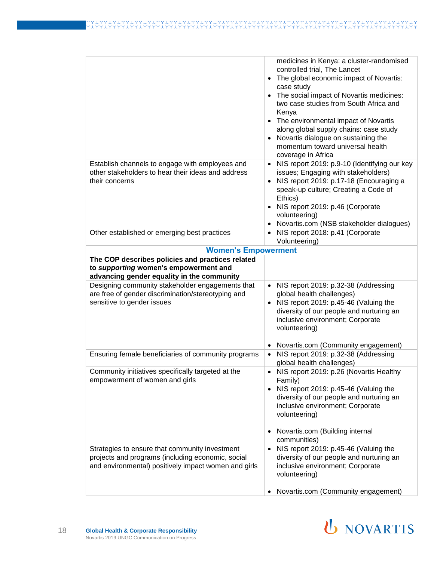|                                                                                           | medicines in Kenya: a cluster-randomised                                                              |
|-------------------------------------------------------------------------------------------|-------------------------------------------------------------------------------------------------------|
|                                                                                           | controlled trial, The Lancet                                                                          |
|                                                                                           | The global economic impact of Novartis:<br>$\bullet$                                                  |
|                                                                                           | case study                                                                                            |
|                                                                                           | The social impact of Novartis medicines:<br>$\bullet$                                                 |
|                                                                                           | two case studies from South Africa and                                                                |
|                                                                                           | Kenya                                                                                                 |
|                                                                                           | • The environmental impact of Novartis                                                                |
|                                                                                           | along global supply chains: case study                                                                |
|                                                                                           | Novartis dialogue on sustaining the<br>$\bullet$                                                      |
|                                                                                           | momentum toward universal health                                                                      |
| Establish channels to engage with employees and                                           | coverage in Africa<br>NIS report 2019: p.9-10 (Identifying our key                                    |
| other stakeholders to hear their ideas and address                                        | issues; Engaging with stakeholders)                                                                   |
| their concerns                                                                            | NIS report 2019: p.17-18 (Encouraging a                                                               |
|                                                                                           | speak-up culture; Creating a Code of                                                                  |
|                                                                                           | Ethics)                                                                                               |
|                                                                                           | NIS report 2019: p.46 (Corporate                                                                      |
|                                                                                           | volunteering)                                                                                         |
|                                                                                           | Novartis.com (NSB stakeholder dialogues)                                                              |
| Other established or emerging best practices                                              | NIS report 2018: p.41 (Corporate                                                                      |
|                                                                                           | Volunteering)                                                                                         |
| <b>Women's Empowerment</b>                                                                |                                                                                                       |
| The COP describes policies and practices related<br>to supporting women's empowerment and |                                                                                                       |
| advancing gender equality in the community                                                |                                                                                                       |
| Designing community stakeholder engagements that                                          | NIS report 2019: p.32-38 (Addressing<br>$\bullet$                                                     |
| are free of gender discrimination/stereotyping and                                        | global health challenges)                                                                             |
| sensitive to gender issues                                                                | • NIS report 2019: p.45-46 (Valuing the                                                               |
|                                                                                           | diversity of our people and nurturing an                                                              |
|                                                                                           | inclusive environment; Corporate                                                                      |
|                                                                                           | volunteering)                                                                                         |
|                                                                                           |                                                                                                       |
| Ensuring female beneficiaries of community programs                                       | Novartis.com (Community engagement)<br>$\bullet$<br>NIS report 2019: p.32-38 (Addressing<br>$\bullet$ |
|                                                                                           | global health challenges)                                                                             |
| Community initiatives specifically targeted at the                                        | NIS report 2019: p.26 (Novartis Healthy                                                               |
| empowerment of women and girls                                                            | Family)                                                                                               |
|                                                                                           | • NIS report 2019: p.45-46 (Valuing the                                                               |
|                                                                                           | diversity of our people and nurturing an                                                              |
|                                                                                           | inclusive environment; Corporate                                                                      |
|                                                                                           | volunteering)                                                                                         |
|                                                                                           | Novartis.com (Building internal                                                                       |
|                                                                                           | communities)                                                                                          |
| Strategies to ensure that community investment                                            | NIS report 2019: p.45-46 (Valuing the                                                                 |
| projects and programs (including economic, social                                         | diversity of our people and nurturing an                                                              |
| and environmental) positively impact women and girls                                      | inclusive environment; Corporate                                                                      |
|                                                                                           | volunteering)                                                                                         |
|                                                                                           |                                                                                                       |
|                                                                                           | Novartis.com (Community engagement)                                                                   |

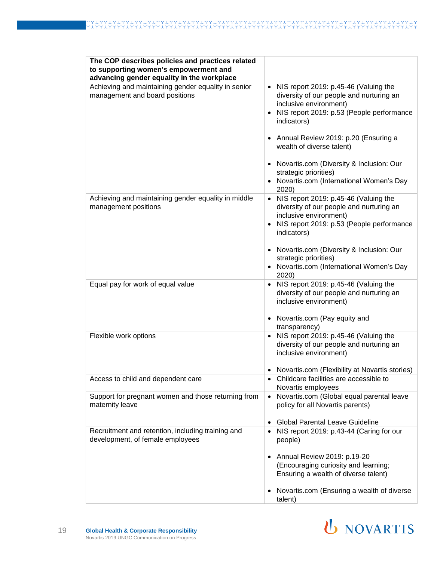| The COP describes policies and practices related<br>to supporting women's empowerment and<br>advancing gender equality in the workplace |                                                                                                                                                                                                                                                                                                                                                                                 |
|-----------------------------------------------------------------------------------------------------------------------------------------|---------------------------------------------------------------------------------------------------------------------------------------------------------------------------------------------------------------------------------------------------------------------------------------------------------------------------------------------------------------------------------|
| Achieving and maintaining gender equality in senior<br>management and board positions                                                   | • NIS report 2019: p.45-46 (Valuing the<br>diversity of our people and nurturing an<br>inclusive environment)<br>• NIS report 2019: p.53 (People performance<br>indicators)<br>• Annual Review 2019: p.20 (Ensuring a<br>wealth of diverse talent)<br>• Novartis.com (Diversity & Inclusion: Our<br>strategic priorities)<br>• Novartis.com (International Women's Day<br>2020) |
| Achieving and maintaining gender equality in middle<br>management positions                                                             | • NIS report 2019: p.45-46 (Valuing the<br>diversity of our people and nurturing an<br>inclusive environment)<br>• NIS report 2019: p.53 (People performance<br>indicators)<br>• Novartis.com (Diversity & Inclusion: Our<br>strategic priorities)<br>• Novartis.com (International Women's Day<br>2020)                                                                        |
| Equal pay for work of equal value                                                                                                       | • NIS report 2019: p.45-46 (Valuing the<br>diversity of our people and nurturing an<br>inclusive environment)<br>• Novartis.com (Pay equity and<br>transparency)                                                                                                                                                                                                                |
| Flexible work options                                                                                                                   | NIS report 2019: p.45-46 (Valuing the<br>$\bullet$<br>diversity of our people and nurturing an<br>inclusive environment)<br>Novartis.com (Flexibility at Novartis stories)                                                                                                                                                                                                      |
| Access to child and dependent care                                                                                                      | Childcare facilities are accessible to<br>Novartis employees                                                                                                                                                                                                                                                                                                                    |
| Support for pregnant women and those returning from<br>maternity leave                                                                  | Novartis.com (Global equal parental leave<br>$\bullet$<br>policy for all Novartis parents)<br><b>Global Parental Leave Guideline</b>                                                                                                                                                                                                                                            |
| Recruitment and retention, including training and<br>development, of female employees                                                   | • NIS report 2019: p.43-44 (Caring for our<br>people)<br>• Annual Review 2019: p.19-20<br>(Encouraging curiosity and learning;<br>Ensuring a wealth of diverse talent)                                                                                                                                                                                                          |
|                                                                                                                                         | Novartis.com (Ensuring a wealth of diverse<br>talent)                                                                                                                                                                                                                                                                                                                           |

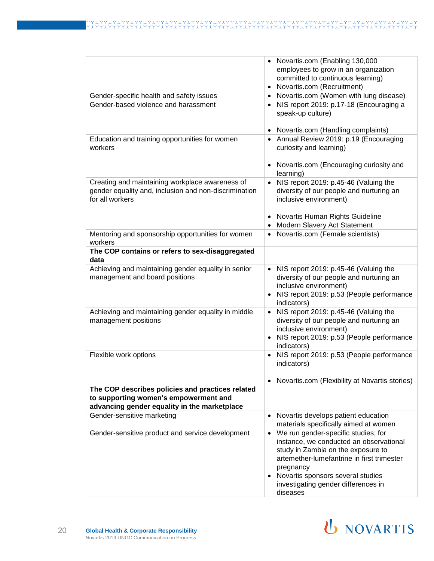|                                                                                                                                           | Novartis.com (Enabling 130,000<br>employees to grow in an organization<br>committed to continuous learning)<br>Novartis.com (Recruitment)                                                                                                                                 |
|-------------------------------------------------------------------------------------------------------------------------------------------|---------------------------------------------------------------------------------------------------------------------------------------------------------------------------------------------------------------------------------------------------------------------------|
| Gender-specific health and safety issues                                                                                                  | • Novartis.com (Women with lung disease)                                                                                                                                                                                                                                  |
| Gender-based violence and harassment                                                                                                      | • NIS report 2019: p.17-18 (Encouraging a<br>speak-up culture)<br>Novartis.com (Handling complaints)                                                                                                                                                                      |
| Education and training opportunities for women<br>workers                                                                                 | • Annual Review 2019: p.19 (Encouraging<br>curiosity and learning)<br>Novartis.com (Encouraging curiosity and<br>learning)                                                                                                                                                |
| Creating and maintaining workplace awareness of<br>gender equality and, inclusion and non-discrimination<br>for all workers               | NIS report 2019: p.45-46 (Valuing the<br>diversity of our people and nurturing an<br>inclusive environment)<br>Novartis Human Rights Guideline<br>Modern Slavery Act Statement                                                                                            |
| Mentoring and sponsorship opportunities for women                                                                                         | Novartis.com (Female scientists)                                                                                                                                                                                                                                          |
| workers                                                                                                                                   |                                                                                                                                                                                                                                                                           |
| The COP contains or refers to sex-disaggregated<br>data                                                                                   |                                                                                                                                                                                                                                                                           |
| Achieving and maintaining gender equality in senior<br>management and board positions                                                     | NIS report 2019: p.45-46 (Valuing the<br>$\bullet$<br>diversity of our people and nurturing an<br>inclusive environment)<br>• NIS report 2019: p.53 (People performance<br>indicators)                                                                                    |
| Achieving and maintaining gender equality in middle<br>management positions                                                               | NIS report 2019: p.45-46 (Valuing the<br>diversity of our people and nurturing an<br>inclusive environment)<br>NIS report 2019: p.53 (People performance<br>indicators)                                                                                                   |
| Flexible work options                                                                                                                     | NIS report 2019: p.53 (People performance<br>indicators)                                                                                                                                                                                                                  |
|                                                                                                                                           | Novartis.com (Flexibility at Novartis stories)                                                                                                                                                                                                                            |
| The COP describes policies and practices related<br>to supporting women's empowerment and<br>advancing gender equality in the marketplace |                                                                                                                                                                                                                                                                           |
| Gender-sensitive marketing                                                                                                                | Novartis develops patient education<br>$\bullet$<br>materials specifically aimed at women                                                                                                                                                                                 |
| Gender-sensitive product and service development                                                                                          | We run gender-specific studies; for<br>instance, we conducted an observational<br>study in Zambia on the exposure to<br>artemether-lumefantrine in first trimester<br>pregnancy<br>• Novartis sponsors several studies<br>investigating gender differences in<br>diseases |